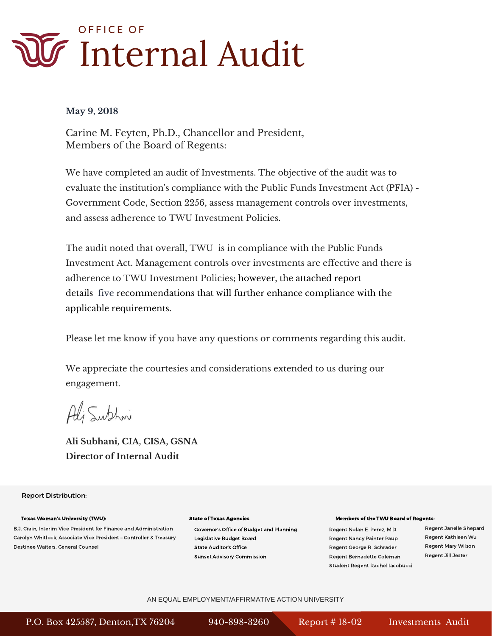

#### **May 9, 2018**

Carine M. Feyten, Ph.D., Chancellor and President, Members of the Board of Regents:

We have completed an audit of Investments. The objective of the audit was to evaluate the institution's compliance with the Public Funds Investment Act (PFIA) - Government Code, Section 2256, assess management controls over investments, and assess adherence to TWU Investment Policies.

The audit noted that overall, TWU is in compliance with the Public Funds Investment Act. Management controls over investments are effective and there is adherence to TWU Investment Policies; however, the attached report details five recommendations that will further enhance compliance with the applicable requirements.

Please let me know if you have any questions or comments regarding this audit.

We appreciate the courtesies and considerations extended to us during our engagement.

Ali Subhoni

**Ali Subhani, CIA, CISA, GSNA Director of Internal Audit** 

#### Report Distribution:

#### Texas Woman's University (TWU):

B.J. Crain, Interim Vice President for Finance and Administration Carolyn Whitlock, Associate Vice President – Controller & Treasury Destinee Waiters, General Counsel

#### State of Texas Agencies

Governor's Office of Budget and Planning Legislative Budget Board State Auditor's Office Sunset Advisory Commission

#### Members of the TWU Board of Regents:

Regent Nancy Painter Paup Regent Kathleen Wu Regent George R. Schrader Regent Mary Wilson Regent Bernadette Coleman Regent Jill Jester Student Regent Rachel Iacobucci

Regent Nolan E. Perez, M.D. Regent Janelle Shepard

#### AN EQUAL EMPLOYMENT/AFFIRMATIVE ACTION UNIVERSITY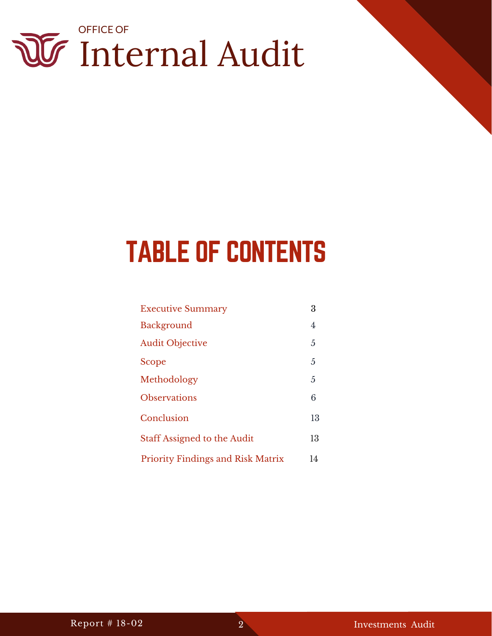

### TABLE OF CONTENTS

| <b>Executive Summary</b>                 | 3  |
|------------------------------------------|----|
| <b>Background</b>                        | 4  |
| <b>Audit Objective</b>                   | 5  |
| Scope                                    | 5  |
| Methodology                              | 5  |
| <b>Observations</b>                      | 6  |
| Conclusion                               | 13 |
| <b>Staff Assigned to the Audit</b>       | 13 |
| <b>Priority Findings and Risk Matrix</b> | 14 |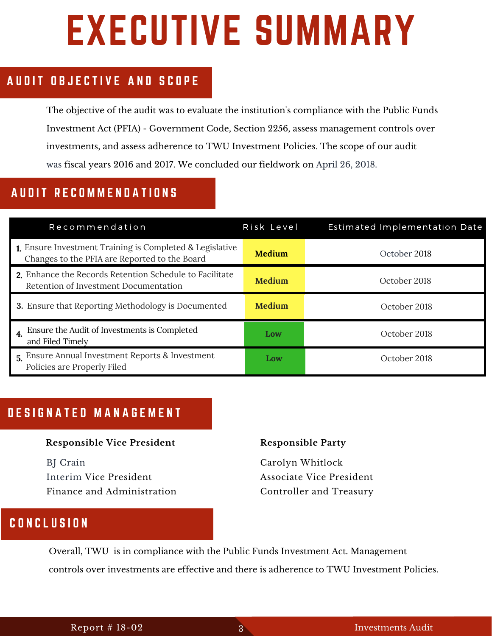# EXECUTIVE SUMMARY

### AUDIT OBJECTIVE AND SCOPE

The objective of the audit was to evaluate the institution's compliance with the Public Funds Investment Act (PFIA) - Government Code, Section 2256, assess management controls over investments, and assess adherence to TWU Investment Policies. The scope of our audit was fiscal years 2016 and 2017. We concluded our fieldwork on April 26, 2018.

### AUDIT RECOMMENDATIONS

| Recommendation                                                                                            | Risk Level    | <b>Estimated Implementation Date</b> |
|-----------------------------------------------------------------------------------------------------------|---------------|--------------------------------------|
| 1. Ensure Investment Training is Completed & Legislative<br>Changes to the PFIA are Reported to the Board | <b>Medium</b> | October 2018                         |
| 2. Enhance the Records Retention Schedule to Facilitate<br>Retention of Investment Documentation          | <b>Medium</b> | October 2018                         |
| <b>3.</b> Ensure that Reporting Methodology is Documented                                                 | <b>Medium</b> | October 2018                         |
| 4. Ensure the Audit of Investments is Completed<br>and Filed Timely                                       | Low           | October 2018                         |
| 5. Ensure Annual Investment Reports & Investment<br>Policies are Properly Filed                           | Low           | October 2018                         |

#### A U D I O B J E O B J E A N A D E O P E A E A T D E S I G N A T E D M A N A G E M E N T

#### **Responsible Vice President**

BJ Crain Interim Vice President Finance and Administration

### **Responsible Party**

Carolyn Whitlock Associate Vice President Controller and Treasury

### R e c o m m e n d a t i o n C O N C L U S I O N

Overall, TWU is in compliance with the Public Funds Investment Act. Management controls over investments are effective and there is adherence to TWU Investment Policies.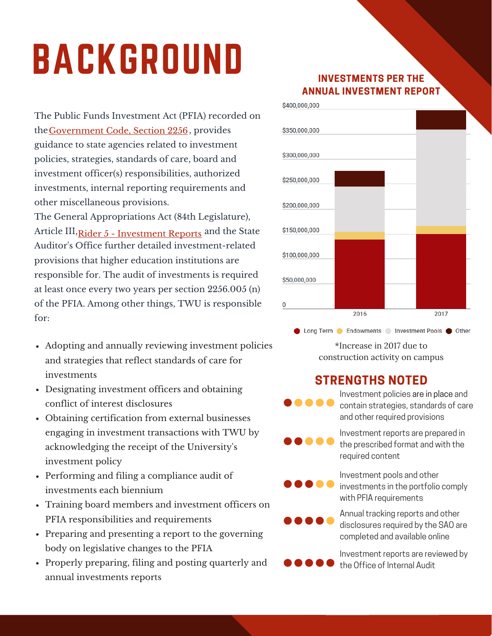# BACKGROUND

The Public Funds Investment Act (PFIA) recorded on the Government Code, Section 2256, provides guidance to state agencies related to investment policies, strategies, standards of care, board and investment officer(s) responsibilities, authorized investments, internal reporting requirements and other miscellaneous provisions. The General Appropriations Act (84th Legislature),

Article III,<u>Rider 5 - Investment Reports</u> and the State [Auditor's Office further detailed investment-related](http://www.statutes.legis.state.tx.us/Docs/GV/htm/GV.2256.htm) provisions that higher education institutions are responsible for. The audit of investments is required at least once every two years per section 2256.005 (n) of the PFIA. Among other things, TWU is responsible for:

- Adopting and annually reviewing investment policies and strategies that reflect standards of care for investments
- Designating investment officers and obtaining conflict of interest disclosures
- Obtaining certification from external businesses engaging in investment transactions with TWU by acknowledging the receipt of the University's investment policy
- Performing and filing a compliance audit of investments each biennium
- Training board members and investment officers on PFIA responsibilities and requirements
- Preparing and presenting a report to the governing body on legislative changes to the PFIA
- Properly preparing, filing and posting quarterly and annual investments reports

Report # 17-02 Report # 18-02 <sup>4</sup> Precursor Chemicals & Apparatus Audit Report #18-01 JAMP Audit Investments Audit 4

### **INVESTMENTS PER THE ANNUAL INVESTMENT REPORT**



● Long Term ● Endowments ● Investment Pools ● Other \*Increase in 2017 due to construction activity on campus

### **STRENGTHS NOTED**

Investment policies are in place and contain strategies, standards of care and other required provisions

Investment reports are prepared in the prescribed format and with the required content

Investment pools and other investments in the portfolio comply with PFIA requirements

Annual tracking reports and other disclosures required by the SAO are completed and available online

Investment reports are reviewed by the Office of Internal Audit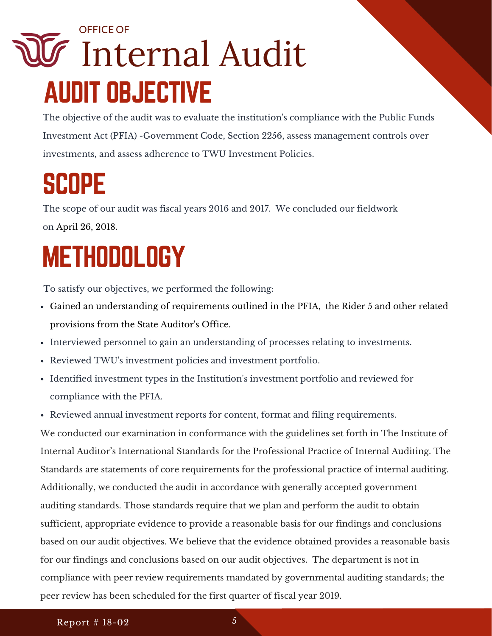### Internal Audit OFFICE OF AUDIT OBJECTIVE

The objective of the audit was to evaluate the institution's compliance with the Public Funds Investment Act (PFIA) -Government Code, Section 2256, assess management controls over investments, and assess adherence to TWU Investment Policies.

### **SCOPE**

The scope of our audit was fiscal years 2016 and 2017. We concluded our fieldwork on April 26, 2018.

### METHODOLOGY

To satisfy our objectives, we performed the following:

- Gained an understanding of requirements outlined in the PFIA, the Rider 5 and other related provisions from the State Auditor's Office.
- Interviewed personnel to gain an understanding of processes relating to investments.
- Reviewed TWU's investment policies and investment portfolio.
- Identified investment types in the Institution's investment portfolio and reviewed for compliance with the PFIA.
- Reviewed annual investment reports for content, format and filing requirements.

We conducted our examination in conformance with the guidelines set forth in The Institute of Internal Auditor's International Standards for the Professional Practice of Internal Auditing. The Standards are statements of core requirements for the professional practice of internal auditing. Additionally, we conducted the audit in accordance with generally accepted government auditing standards. Those standards require that we plan and perform the audit to obtain sufficient, appropriate evidence to provide a reasonable basis for our findings and conclusions based on our audit objectives. We believe that the evidence obtained provides a reasonable basis for our findings and conclusions based on our audit objectives. The department is not in compliance with peer review requirements mandated by governmental auditing standards; the peer review has been scheduled for the first quarter of fiscal year 2019.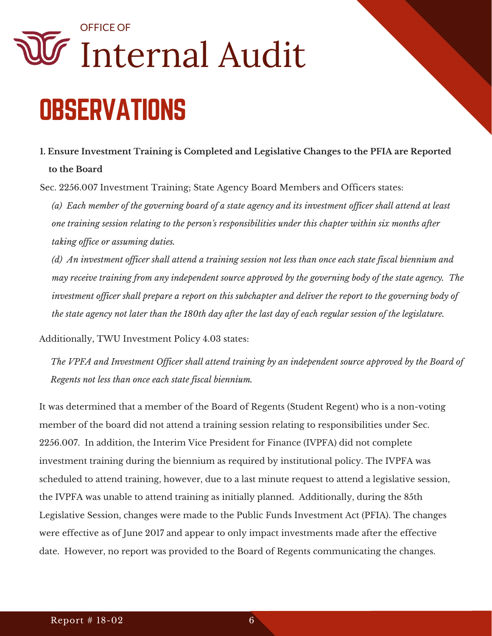## **OBSERVATIONS** Internal Audit OFFICE OF

### **1. Ensure Investment Training is Completed and Legislative Changes to the PFIA are Reported to the Board**

Sec. 2256.007 Investment Training; State Agency Board Members and Officers states:

*(a) Each member of the governing board of a state agency and its investment officer shall attend at least one training session relating to the person's responsibilities under this chapter within six months after taking office or assuming duties.* 

*(d) An investment officer shall attend a training session not less than once each state fiscal biennium and may receive training from any independent source approved by the governing body of the state agency. The investment officer shall prepare a report on this subchapter and deliver the report to the governing body of the state agency not later than the 180th day after the last day of each regular session of the legislature.* 

Additionally, TWU Investment Policy 4.03 states:

*The VPFA and Investment Officer shall attend training by an independent source approved by the Board of Regents not less than once each state fiscal biennium.* 

It was determined that a member of the Board of Regents (Student Regent) who is a non-voting member of the board did not attend a training session relating to responsibilities under Sec. 2256.007. In addition, the Interim Vice President for Finance (IVPFA) did not complete investment training during the biennium as required by institutional policy. The IVPFA was scheduled to attend training, however, due to a last minute request to attend a legislative session, the IVPFA was unable to attend training as initially planned. Additionally, during the 85th Legislative Session, changes were made to the Public Funds Investment Act (PFIA). The changes were effective as of June 2017 and appear to only impact investments made after the effective date. However, no report was provided to the Board of Regents communicating the changes.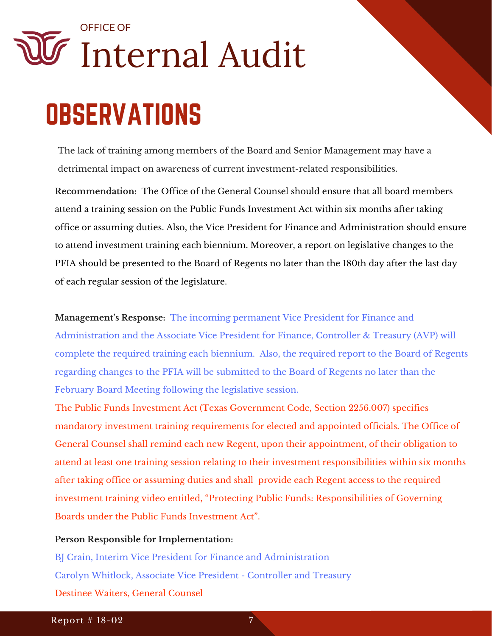## Internal Audit OFFICE OF **OBSERVATIONS**

The lack of training among members of the Board and Senior Management may have a detrimental impact on awareness of current investment-related responsibilities.

**Recommendation:** The Office of the General Counsel should ensure that all board members attend a training session on the Public Funds Investment Act within six months after taking office or assuming duties. Also, the Vice President for Finance and Administration should ensure to attend investment training each biennium. Moreover, a report on legislative changes to the PFIA should be presented to the Board of Regents no later than the 180th day after the last day of each regular session of the legislature.

**Management's Response:** The incoming permanent Vice President for Finance and Administration and the Associate Vice President for Finance, Controller & Treasury (AVP) will complete the required training each biennium. Also, the required report to the Board of Regents regarding changes to the PFIA will be submitted to the Board of Regents no later than the February Board Meeting following the legislative session.

The Public Funds Investment Act (Texas Government Code, Section 2256.007) specifies mandatory investment training requirements for elected and appointed officials. The Office of General Counsel shall remind each new Regent, upon their appointment, of their obligation to attend at least one training session relating to their investment responsibilities within six months after taking office or assuming duties and shall provide each Regent access to the required investment training video entitled, "Protecting Public Funds: Responsibilities of Governing Boards under the Public Funds Investment Act".

#### **Person Responsible for Implementation:**

BJ Crain, Interim Vice President for Finance and Administration Carolyn Whitlock, Associate Vice President - Controller and Treasury Destinee Waiters, General Counsel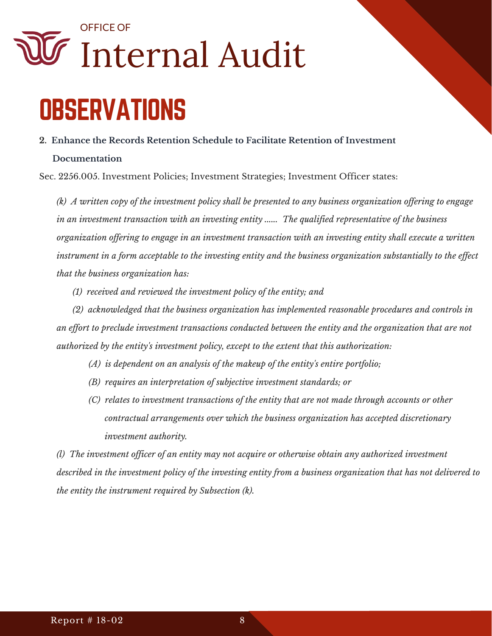### O FFICE OF Internal Audit

### **OBSERVATIONS**

#### **2. Enhance the Records Retention Schedule to Facilitate Retention of Investment**

#### **Documentation**

Sec. 2256.005. Investment Policies; Investment Strategies; Investment Officer states:

*(k) A written copy of the investment policy shall be presented to any business organization offering to engage in an investment transaction with an investing entity ...... The qualified representative of the business organization offering to engage in an investment transaction with an investing entity shall execute a written instrument in a form acceptable to the investing entity and the business organization substantially to the effect that the business organization has:* 

 *(1) received and reviewed the investment policy of the entity; and* 

 *(2) acknowledged that the business organization has implemented reasonable procedures and controls in an effort to preclude investment transactions conducted between the entity and the organization that are not authorized by the entity's investment policy, except to the extent that this authorization:* 

- *(A) is dependent on an analysis of the makeup of the entity's entire portfolio;*
- *(B) requires an interpretation of subjective investment standards; or*
- *(C) relates to investment transactions of the entity that are not made through accounts or other contractual arrangements over which the business organization has accepted discretionary investment authority.*

*(l) The investment officer of an entity may not acquire or otherwise obtain any authorized investment described in the investment policy of the investing entity from a business organization that has not delivered to the entity the instrument required by Subsection (k).*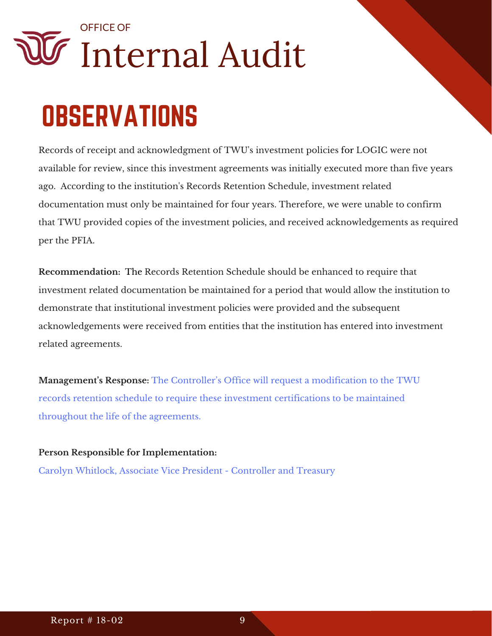### **OBSERVATIONS**

Records of receipt and acknowledgment of TWU's investment policies for LOGIC were not available for review, since this investment agreements was initially executed more than five years ago. According to the institution's Records Retention Schedule, investment related documentation must only be maintained for four years. Therefore, we were unable to confirm that TWU provided copies of the investment policies, and received acknowledgements as required per the PFIA.

**Recommendation:**  The Records Retention Schedule should be enhanced to require that investment related documentation be maintained for a period that would allow the institution to demonstrate that institutional investment policies were provided and the subsequent acknowledgements were received from entities that the institution has entered into investment related agreements.

**Management's Response:** The Controller's Office will request a modification to the TWU records retention schedule to require these investment certifications to be maintained throughout the life of the agreements.

**Person Responsible for Implementation:**  Carolyn Whitlock, Associate Vice President - Controller and Treasury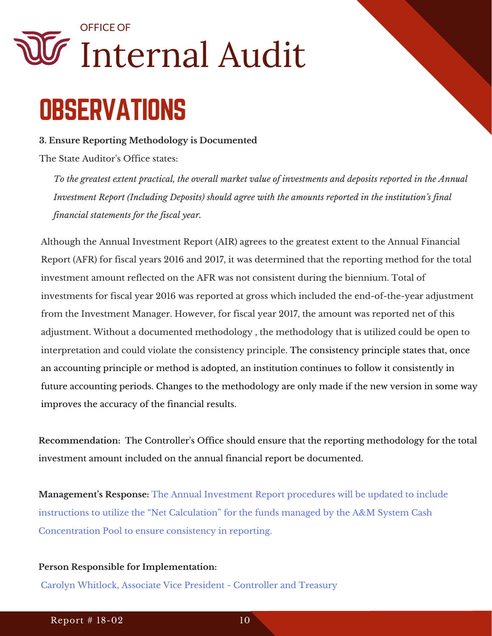### **OBSERVATIONS**

#### **3. Ensure Reporting Methodology is Documented**

The State Auditor's Office states:

*To the greatest extent practical, the overall market value of investments and deposits reported in the Annual Investment Report (Including Deposits) should agree with the amounts reported in the institution's final financial statements for the fiscal year.*

Although the Annual Investment Report (AIR) agrees to the greatest extent to the Annual Financial Report (AFR) for fiscal years 2016 and 2017, it was determined that the reporting method for the total investment amount reflected on the AFR was not consistent during the biennium. Total of investments for fiscal year 2016 was reported at gross which included the end-of-the-year adjustment from the Investment Manager. However, for fiscal year 2017, the amount was reported net of this adjustment. Without a documented methodology , the methodology that is utilized could be open to interpretation and could violate the consistency principle. The consistency principle states that, once an accounting principle or method is adopted, an institution continues to follow it consistently in future accounting periods. Changes to the methodology are only made if the new version in some way improves the accuracy of the financial results.

**Recommendation:**  The Controller's Office should ensure that the reporting methodology for the total investment amount included on the annual financial report be documented.

**Management's Response:** The Annual Investment Report procedures will be updated to include instructions to utilize the "Net Calculation" for the funds managed by the A&M System Cash Concentration Pool to ensure consistency in reporting.

#### **Person Responsible for Implementation:**

Carolyn Whitlock, Associate Vice President - Controller and Treasury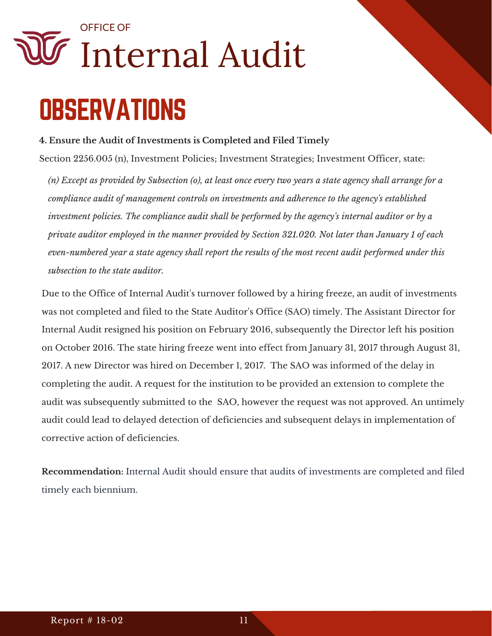### **OBSERVATIONS** Internal Audit OFFICE OF

#### **4. Ensure the Audit of Investments is Completed and Filed Timely**

Section 2256.005 (n), Investment Policies; Investment Strategies; Investment Officer, state:

*(n) Except as provided by Subsection (o), at least once every two years a state agency shall arrange for a compliance audit of management controls on investments and adherence to the agency's established investment policies. The compliance audit shall be performed by the agency's internal auditor or by a private auditor employed in the manner provided by Section 321.020. Not later than January 1 of each even-numbered year a state agency shall report the results of the most recent audit performed under this subsection to the state auditor.* 

Due to the Office of Internal Audit's turnover followed by a hiring freeze, an audit of investments was not completed and filed to the State Auditor's Office (SAO) timely. The Assistant Director for Internal Audit resigned his position on February 2016, subsequently the Director left his position on October 2016. The state hiring freeze went into effect from January 31, 2017 through August 31, 2017. A new Director was hired on December 1, 2017. The SAO was informed of the delay in completing the audit. A request for the institution to be provided an extension to complete the audit was subsequently submitted to the SAO, however the request was not approved. An untimely audit could lead to delayed detection of deficiencies and subsequent delays in implementation of corrective action of deficiencies.

**Recommendation:** Internal Audit should ensure that audits of investments are completed and filed timely each biennium.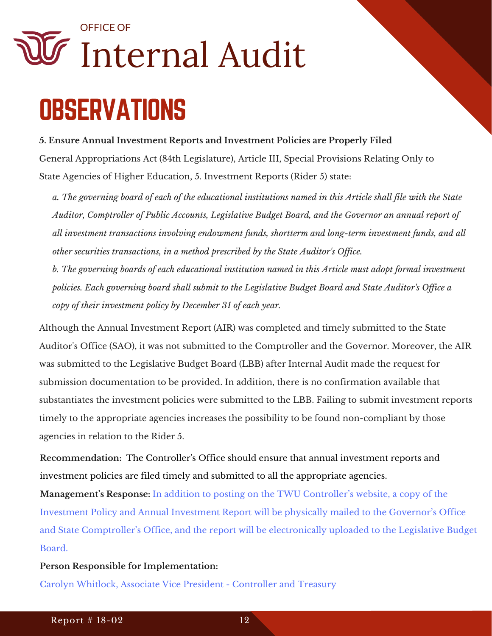### **OBSERVATIONS**

#### **5. Ensure Annual Investment Reports and Investment Policies are Properly Filed**

General Appropriations Act (84th Legislature), Article III, Special Provisions Relating Only to State Agencies of Higher Education, 5. Investment Reports (Rider 5) state:

*a. The governing board of each of the educational institutions named in this Article shall file with the State Auditor, Comptroller of Public Accounts, Legislative Budget Board, and the Governor an annual report of all investment transactions involving endowment funds, shortterm and long-term investment funds, and all other securities transactions, in a method prescribed by the State Auditor's Office.* 

*b. The governing boards of each educational institution named in this Article must adopt formal investment policies. Each governing board shall submit to the Legislative Budget Board and State Auditor's Office a copy of their investment policy by December 31 of each year.* 

Although the Annual Investment Report (AIR) was completed and timely submitted to the State Auditor's Office (SAO), it was not submitted to the Comptroller and the Governor. Moreover, the AIR was submitted to the Legislative Budget Board (LBB) after Internal Audit made the request for submission documentation to be provided. In addition, there is no confirmation available that substantiates the investment policies were submitted to the LBB. Failing to submit investment reports timely to the appropriate agencies increases the possibility to be found non-compliant by those agencies in relation to the Rider 5.

**Recommendation:**  The Controller's Office should ensure that annual investment reports and investment policies are filed timely and submitted to all the appropriate agencies.

**Management's Response:** In addition to posting on the TWU Controller's website, a copy of the Investment Policy and Annual Investment Report will be physically mailed to the Governor's Office and State Comptroller's Office, and the report will be electronically uploaded to the Legislative Budget Board.

#### **Person Responsible for Implementation:**

Carolyn Whitlock, Associate Vice President - Controller and Treasury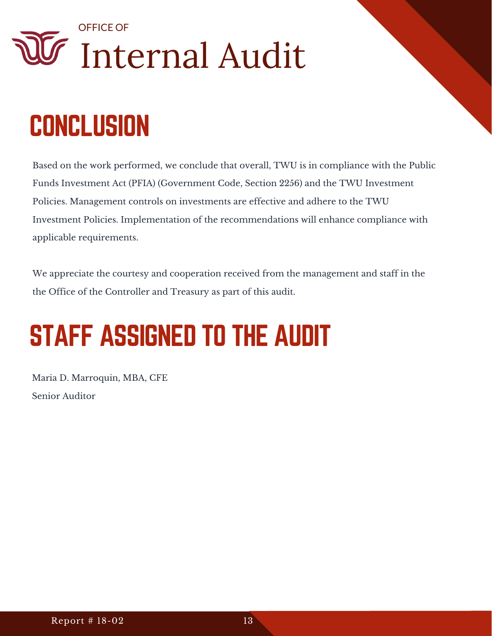### **CONCLUSION**

Based on the work performed, we conclude that overall, TWU is in compliance with the Public Funds Investment Act (PFIA) (Government Code, Section 2256) and the TWU Investment Policies. Management controls on investments are effective and adhere to the TWU Investment Policies. Implementation of the recommendations will enhance compliance with applicable requirements.

We appreciate the courtesy and cooperation received from the management and staff in the the Office of the Controller and Treasury as part of this audit.

### STAFF ASSIGNED TO THE AUDIT

Maria D. Marroquin, MBA, CFE Senior Auditor